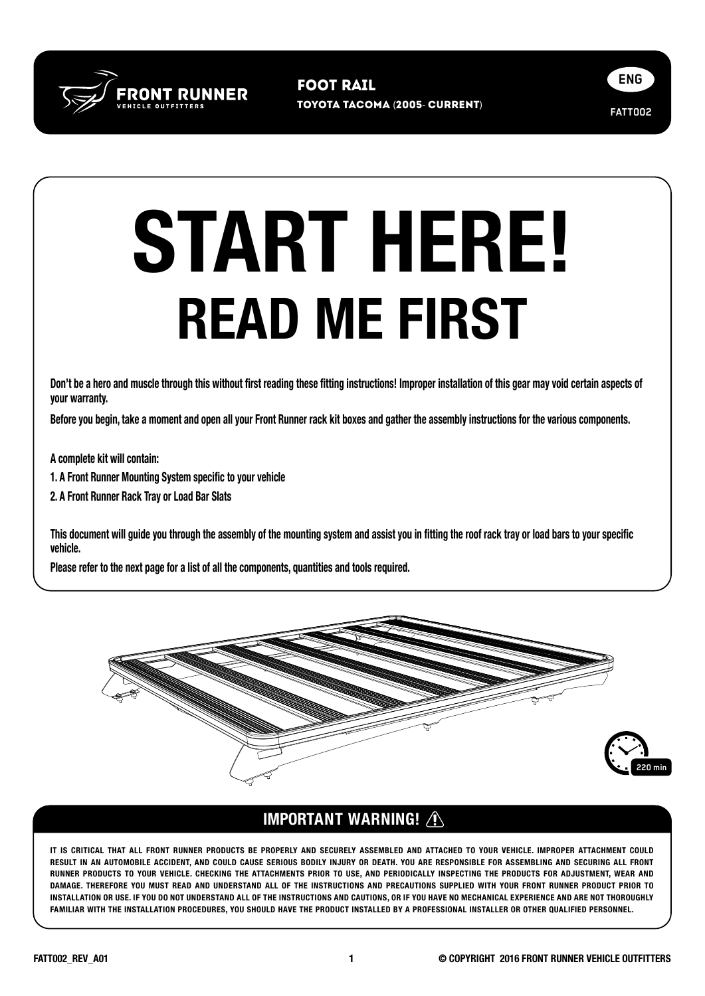

toyota TaCOMA (2005- CURRENT) Foot Rail



## READ ME FIRST START HERE!

Don't be a hero and muscle through this without first reading these fitting instructions! Improper installation of this gear may void certain aspects of your warranty.

Before you begin, take a moment and open all your Front Runner rack kit boxes and gather the assembly instructions for the various components.

A complete kit will contain:

1. A Front Runner Mounting System specific to your vehicle

2. A Front Runner Rack Tray or Load Bar Slats

This document will guide you through the assembly of the mounting system and assist you in fitting the roof rack tray or load bars to your specific vehicle.

Please refer to the next page for a list of all the components, quantities and tools required.



## IMPORTANT WARNING!

IT IS CRITICAL THAT ALL FRONT RUNNER PRODUCTS BE PROPERLY AND SECURELY ASSEMBLED AND ATTACHED TO YOUR VEHICLE. IMPROPER ATTACHMENT COULD RESULT IN AN AUTOMOBILE ACCIDENT, AND COULD CAUSE SERIOUS BODILY INJURY OR DEATH. YOU ARE RESPONSIBLE FOR ASSEMBLING AND SECURING ALL FRONT RUNNER PRODUCTS TO YOUR VEHICLE. CHECKING THE ATTACHMENTS PRIOR TO USE, AND PERIODICALLY INSPECTING THE PRODUCTS FOR ADJUSTMENT, WEAR AND DAMAGE. THEREFORE YOU MUST READ AND UNDERSTAND ALL OF THE INSTRUCTIONS AND PRECAUTIONS SUPPLIED WITH YOUR FRONT RUNNER PRODUCT PRIOR TO INSTALLATION OR USE. IF YOU DO NOT UNDERSTAND ALL OF THE INSTRUCTIONS AND CAUTIONS, OR IF YOU HAVE NO MECHANICAL EXPERIENCE AND ARE NOT THOROUGHLY FAMILIAR WITH THE INSTALLATION PROCEDURES, YOU SHOULD HAVE THE PRODUCT INSTALLED BY A PROFESSIONAL INSTALLER OR OTHER QUALIFIED PERSONNEL.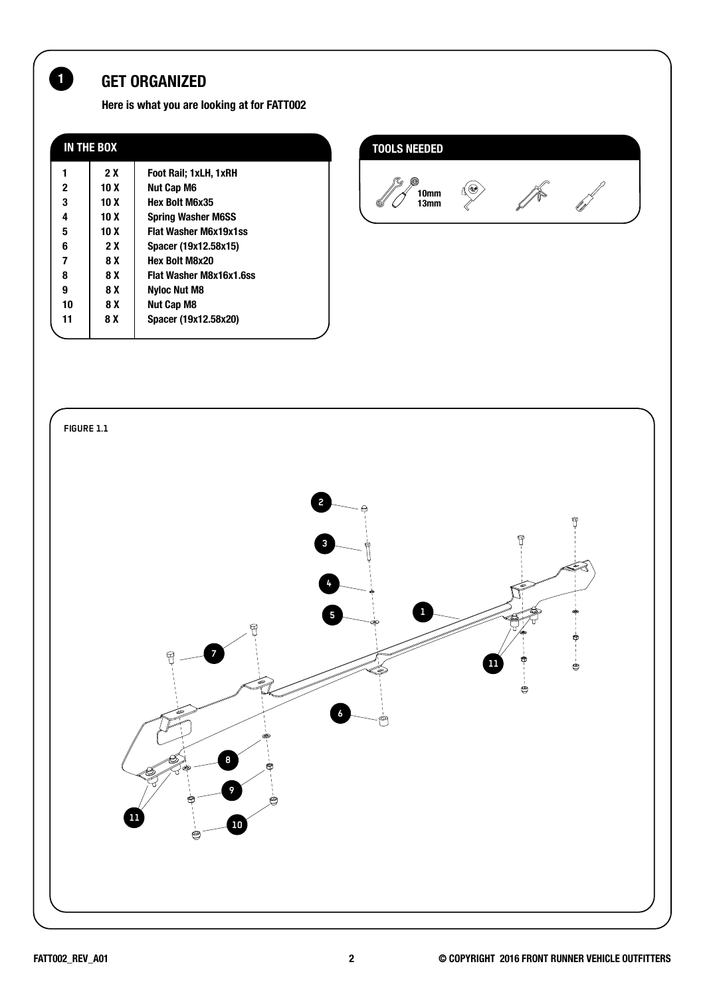## 1 GET ORGANIZED

Here is what you are looking at for FATT002

| IN THE BOX |                 |                                |  |
|------------|-----------------|--------------------------------|--|
|            | 2X              | Foot Rail; 1xLH, 1xRH          |  |
| 2          | 10 X            | Nut Cap M6                     |  |
| 3          | 10 X            | <b>Hex Bolt M6x35</b>          |  |
| 4          | 10 <sub>X</sub> | <b>Spring Washer M6SS</b>      |  |
| 5          | 10 <sub>X</sub> | <b>Flat Washer M6x19x1ss</b>   |  |
| 6          | 2 X             | Spacer (19x12.58x15)           |  |
| 7          | 8 X             | <b>Hex Bolt M8x20</b>          |  |
| 8          | 8 X             | <b>Flat Washer M8x16x1.6ss</b> |  |
| 9          | 8 X             | <b>Nyloc Nut M8</b>            |  |
| 10         | 8 X             | Nut Cap M8                     |  |
| 11         | 8 X             | Spacer (19x12.58x20)           |  |
|            |                 |                                |  |





U)<br>U

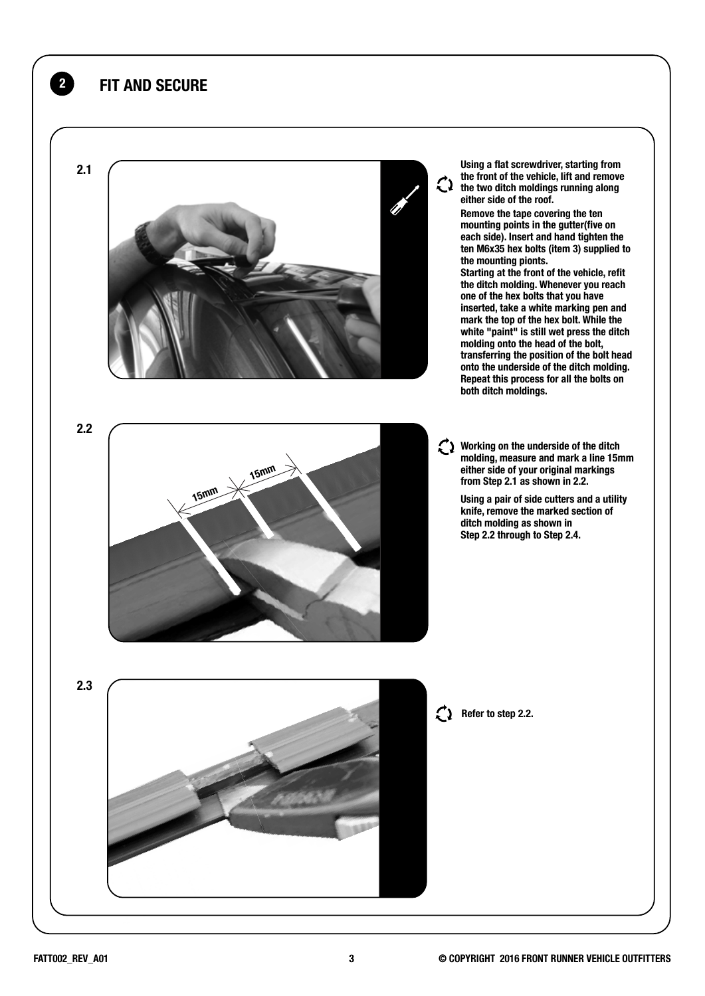

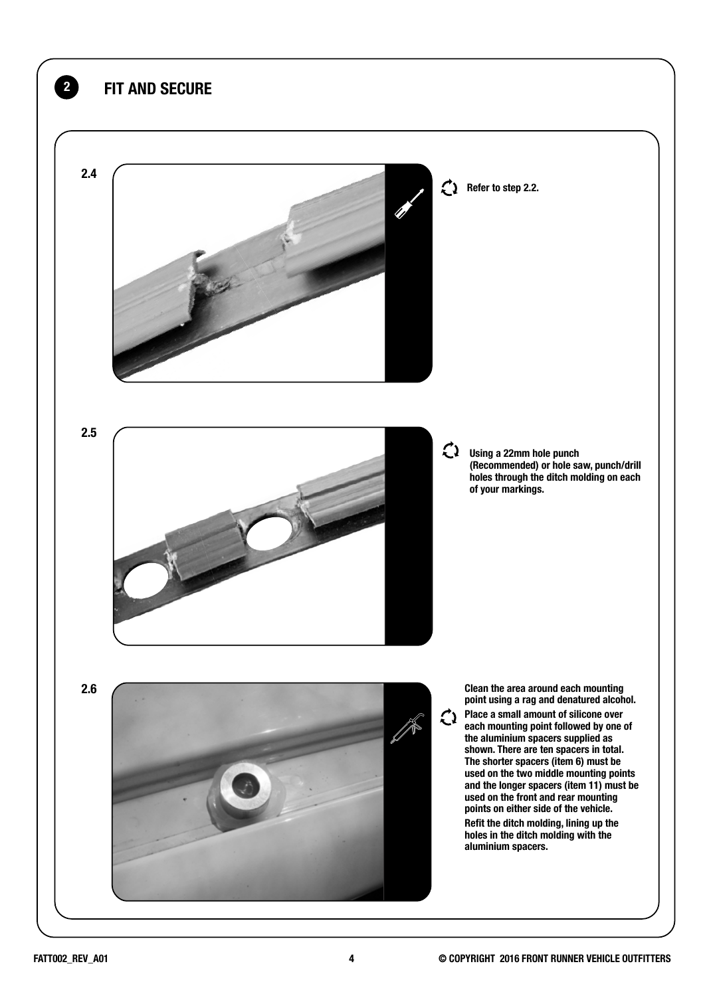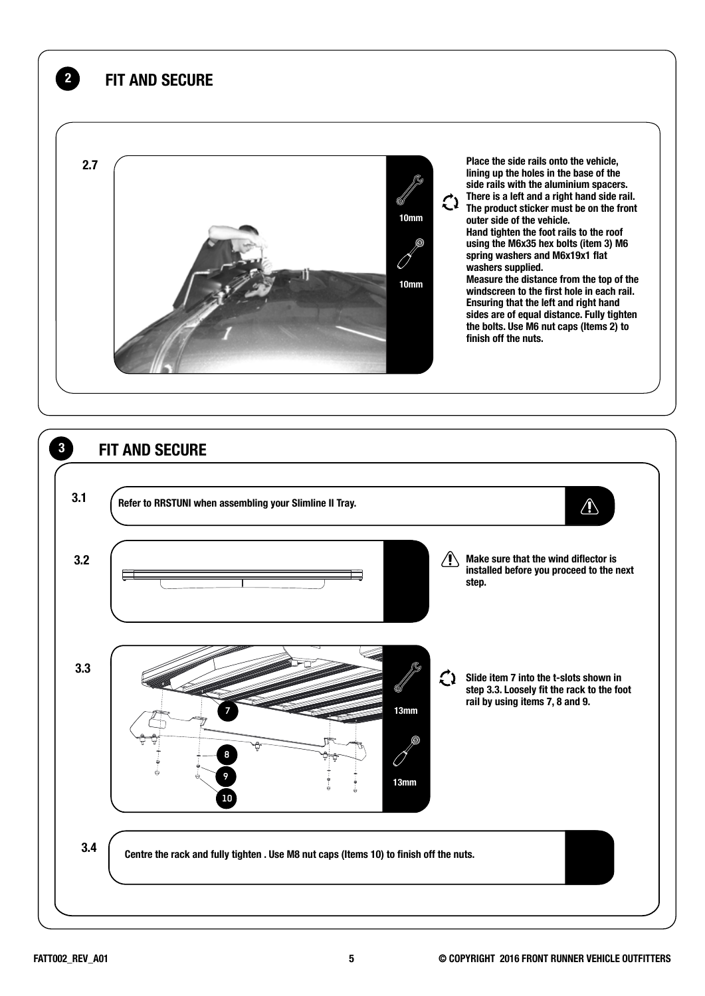